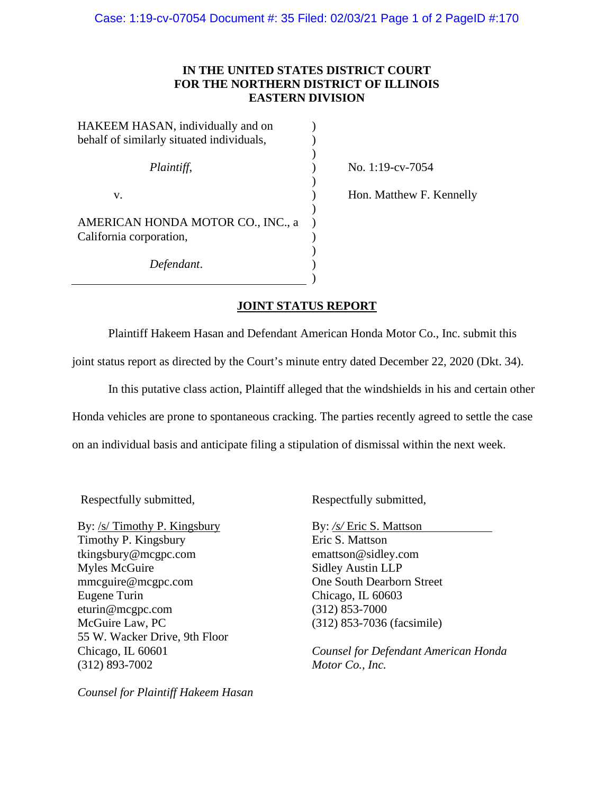## **IN THE UNITED STATES DISTRICT COURT FOR THE NORTHERN DISTRICT OF ILLINOIS EASTERN DIVISION**

| HAKEEM HASAN, individually and on         |  |
|-------------------------------------------|--|
| behalf of similarly situated individuals, |  |
|                                           |  |
| Plaintiff,                                |  |
|                                           |  |
| v.                                        |  |
|                                           |  |
| AMERICAN HONDA MOTOR CO., INC., a         |  |
| California corporation,                   |  |
|                                           |  |
| Defendant.                                |  |
|                                           |  |

) No. 1:19-cv-7054

) Hon. Matthew F. Kennelly

## **JOINT STATUS REPORT**

Plaintiff Hakeem Hasan and Defendant American Honda Motor Co., Inc. submit this joint status report as directed by the Court's minute entry dated December 22, 2020 (Dkt. 34).

In this putative class action, Plaintiff alleged that the windshields in his and certain other Honda vehicles are prone to spontaneous cracking. The parties recently agreed to settle the case on an individual basis and anticipate filing a stipulation of dismissal within the next week.

By: /s/ Timothy P. Kingsbury Timothy P. Kingsbury tkingsbury@mcgpc.com Myles McGuire mmcguire@mcgpc.com Eugene Turin eturin@mcgpc.com McGuire Law, PC 55 W. Wacker Drive, 9th Floor Chicago, IL 60601 (312) 893-7002

*Counsel for Plaintiff Hakeem Hasan*

Respectfully submitted, Respectfully submitted,

By: */s/* Eric S. Mattson Eric S. Mattson emattson@sidley.com Sidley Austin LLP One South Dearborn Street Chicago, IL 60603 (312) 853-7000 (312) 853-7036 (facsimile)

*Counsel for Defendant American Honda Motor Co., Inc.*